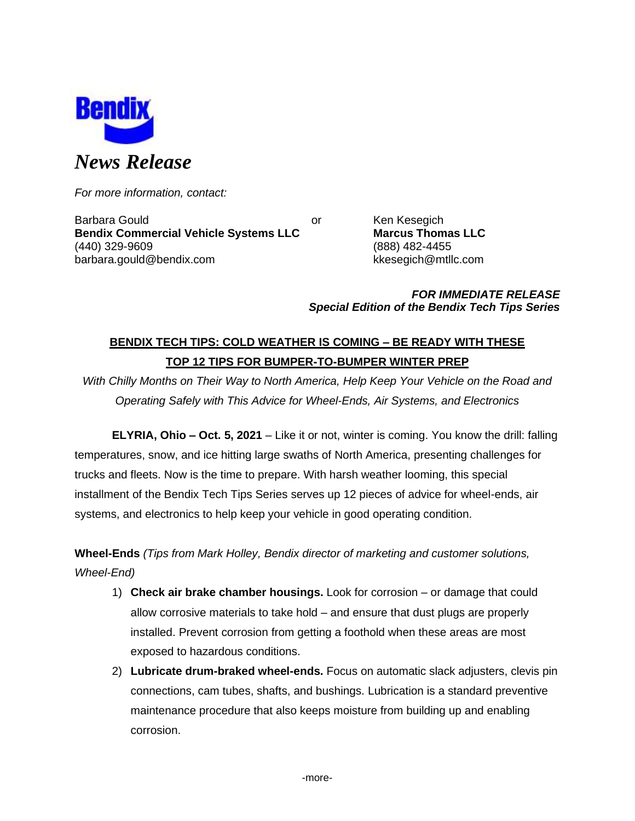

*For more information, contact:*

Barbara Gould **Communist Communist Communist Communist Communist Communist Communist Communist Communist Communist Communist Communist Communist Communist Communist Communist Communist Communist Communist Communist Communi Bendix Commercial Vehicle Systems LLC Marcus Thomas LLC** (440) 329-9609 (888) 482-4455 barbara.gould@bendix.com kkesegich@mtllc.com

*FOR IMMEDIATE RELEASE Special Edition of the Bendix Tech Tips Series*

# **BENDIX TECH TIPS: COLD WEATHER IS COMING – BE READY WITH THESE TOP 12 TIPS FOR BUMPER-TO-BUMPER WINTER PREP**

*With Chilly Months on Their Way to North America, Help Keep Your Vehicle on the Road and Operating Safely with This Advice for Wheel-Ends, Air Systems, and Electronics*

**ELYRIA, Ohio – Oct. 5, 2021** – Like it or not, winter is coming. You know the drill: falling temperatures, snow, and ice hitting large swaths of North America, presenting challenges for trucks and fleets. Now is the time to prepare. With harsh weather looming, this special installment of the Bendix Tech Tips Series serves up 12 pieces of advice for wheel-ends, air systems, and electronics to help keep your vehicle in good operating condition.

**Wheel-Ends** *(Tips from Mark Holley, Bendix director of marketing and customer solutions, Wheel-End)*

- 1) **Check air brake chamber housings.** Look for corrosion or damage that could allow corrosive materials to take hold – and ensure that dust plugs are properly installed. Prevent corrosion from getting a foothold when these areas are most exposed to hazardous conditions.
- 2) **Lubricate drum-braked wheel-ends.** Focus on automatic slack adjusters, clevis pin connections, cam tubes, shafts, and bushings. Lubrication is a standard preventive maintenance procedure that also keeps moisture from building up and enabling corrosion.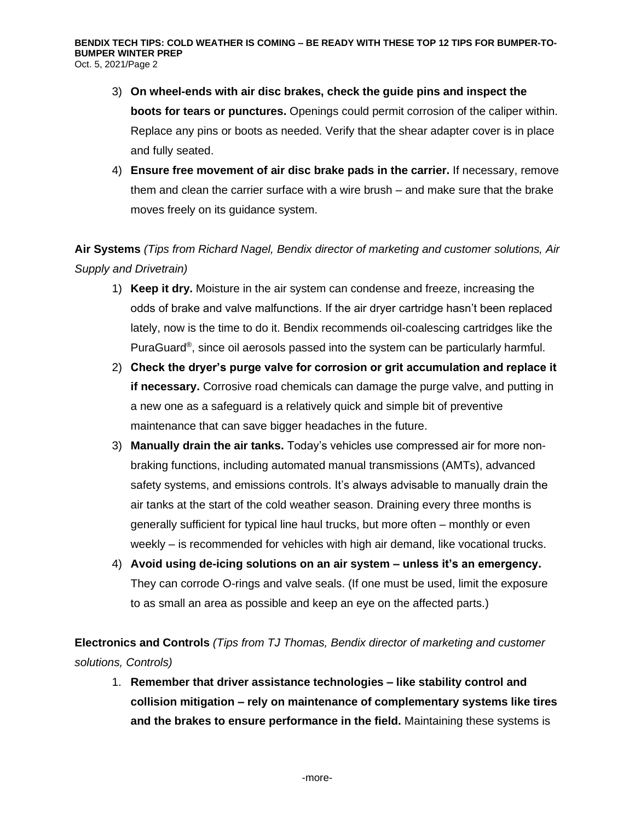- 3) **On wheel-ends with air disc brakes, check the guide pins and inspect the boots for tears or punctures.** Openings could permit corrosion of the caliper within. Replace any pins or boots as needed. Verify that the shear adapter cover is in place and fully seated.
- 4) **Ensure free movement of air disc brake pads in the carrier.** If necessary, remove them and clean the carrier surface with a wire brush – and make sure that the brake moves freely on its guidance system.

# **Air Systems** *(Tips from Richard Nagel, Bendix director of marketing and customer solutions, Air Supply and Drivetrain)*

- 1) **Keep it dry.** Moisture in the air system can condense and freeze, increasing the odds of brake and valve malfunctions. If the air dryer cartridge hasn't been replaced lately, now is the time to do it. Bendix recommends oil-coalescing cartridges like the PuraGuard® , since oil aerosols passed into the system can be particularly harmful.
- 2) **Check the dryer's purge valve for corrosion or grit accumulation and replace it if necessary.** Corrosive road chemicals can damage the purge valve, and putting in a new one as a safeguard is a relatively quick and simple bit of preventive maintenance that can save bigger headaches in the future.
- 3) **Manually drain the air tanks.** Today's vehicles use compressed air for more nonbraking functions, including automated manual transmissions (AMTs), advanced safety systems, and emissions controls. It's always advisable to manually drain the air tanks at the start of the cold weather season. Draining every three months is generally sufficient for typical line haul trucks, but more often – monthly or even weekly – is recommended for vehicles with high air demand, like vocational trucks.
- 4) **Avoid using de-icing solutions on an air system – unless it's an emergency.** They can corrode O-rings and valve seals. (If one must be used, limit the exposure to as small an area as possible and keep an eye on the affected parts.)

**Electronics and Controls** *(Tips from TJ Thomas, Bendix director of marketing and customer solutions, Controls)*

1. **Remember that driver assistance technologies – like stability control and collision mitigation – rely on maintenance of complementary systems like tires and the brakes to ensure performance in the field.** Maintaining these systems is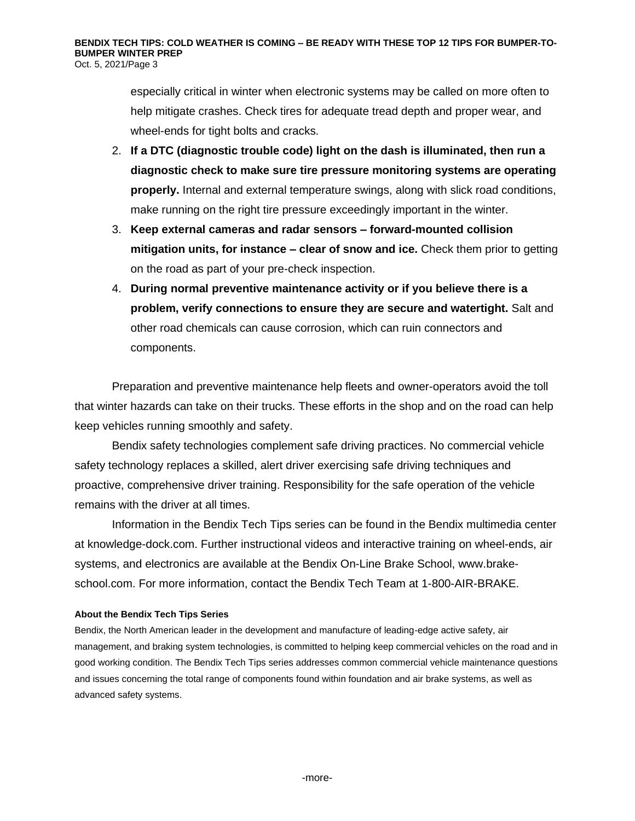especially critical in winter when electronic systems may be called on more often to help mitigate crashes. Check tires for adequate tread depth and proper wear, and wheel-ends for tight bolts and cracks.

- 2. **If a DTC (diagnostic trouble code) light on the dash is illuminated, then run a diagnostic check to make sure tire pressure monitoring systems are operating properly.** Internal and external temperature swings, along with slick road conditions, make running on the right tire pressure exceedingly important in the winter.
- 3. **Keep external cameras and radar sensors – forward-mounted collision mitigation units, for instance – clear of snow and ice.** Check them prior to getting on the road as part of your pre-check inspection.
- 4. **During normal preventive maintenance activity or if you believe there is a problem, verify connections to ensure they are secure and watertight.** Salt and other road chemicals can cause corrosion, which can ruin connectors and components.

Preparation and preventive maintenance help fleets and owner-operators avoid the toll that winter hazards can take on their trucks. These efforts in the shop and on the road can help keep vehicles running smoothly and safety.

Bendix safety technologies complement safe driving practices. No commercial vehicle safety technology replaces a skilled, alert driver exercising safe driving techniques and proactive, comprehensive driver training. Responsibility for the safe operation of the vehicle remains with the driver at all times.

Information in the Bendix Tech Tips series can be found in the Bendix multimedia center at knowledge-dock.com. Further instructional videos and interactive training on wheel-ends, air systems, and electronics are available at the Bendix On-Line Brake School, [www.brake](http://www.brake-school.com/)[school.com.](http://www.brake-school.com/) For more information, contact the Bendix Tech Team at 1-800-AIR-BRAKE.

### **About the Bendix Tech Tips Series**

Bendix, the North American leader in the development and manufacture of leading-edge active safety, air management, and braking system technologies, is committed to helping keep commercial vehicles on the road and in good working condition. The Bendix Tech Tips series addresses common commercial vehicle maintenance questions and issues concerning the total range of components found within foundation and air brake systems, as well as advanced safety systems.